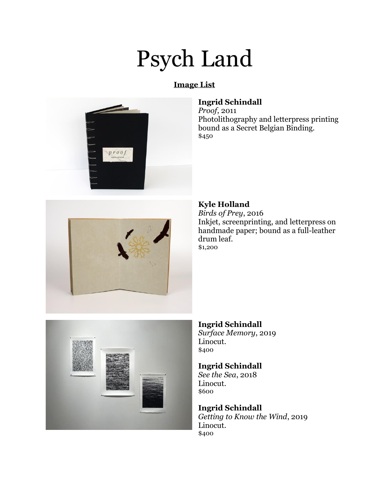# Psych Land

# **Image List**



# **Ingrid Schindall**

*Proof*, 2011 Photolithography and letterpress printing bound as a Secret Belgian Binding. \$450



#### **Kyle Holland**

*Birds of Prey*, 2016 Inkjet, screenprinting, and letterpress on handmade paper; bound as a full-leather drum leaf. \$1,200



#### **Ingrid Schindall**

*Surface Memory*, 2019 Linocut. \$400

#### **Ingrid Schindall**

*See the Sea*, 2018 Linocut. \$600

#### **Ingrid Schindall**

*Getting to Know the Wind*, 2019 Linocut. \$400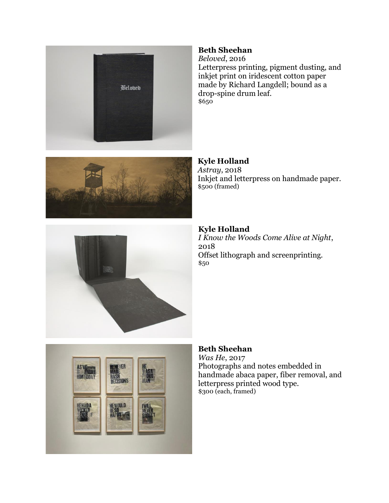

#### **Beth Sheehan**

*Beloved*, 2016 Letterpress printing, pigment dusting, and inkjet print on iridescent cotton paper made by Richard Langdell; bound as a drop-spine drum leaf. \$650



**Kyle Holland** *Astray*, 2018 Inkjet and letterpress on handmade paper. \$500 (framed)



#### **Kyle Holland** *I Know the Woods Come Alive at Night*, 2018 Offset lithograph and screenprinting. \$50



#### **Beth Sheehan**

*Was He*, 2017 Photographs and notes embedded in handmade abaca paper, fiber removal, and letterpress printed wood type. \$300 (each, framed)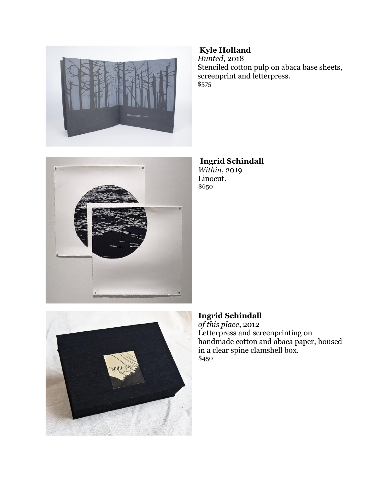



# **Kyle Holland**

*Hunted*, 2018 Stenciled cotton pulp on abaca base sheets, screenprint and letterpress. \$575

**Ingrid Schindall** *Within*, 2019 Linocut. \$650



### **Ingrid Schindall**

*of this place*, 2012 Letterpress and screenprinting on handmade cotton and abaca paper, housed in a clear spine clamshell box. \$450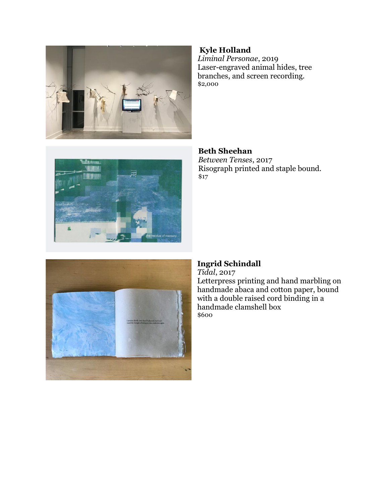

#### **Kyle Holland**

*Liminal Personae*, 2019 Laser-engraved animal hides, tree branches, and screen recording. \$2,000



#### **Beth Sheehan**

*Between Tenses*, 2017 Risograph printed and staple bound. \$17



# **Ingrid Schindall**

*Tidal*, 2017 Letterpress printing and hand marbling on handmade abaca and cotton paper, bound with a double raised cord binding in a handmade clamshell box \$600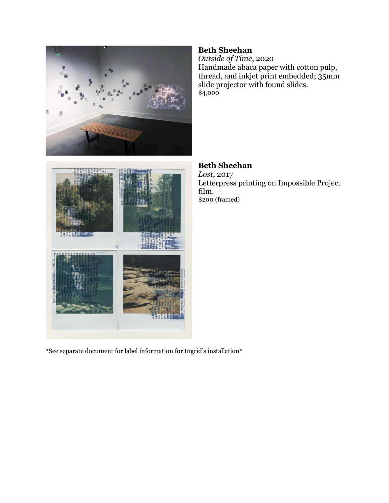



*Outside of Time*, 2020 Handmade abaca paper with cotton pulp, thread, and inkjet print embedded; 35mm slide projector with found slides. \$4,000

**Beth Sheehan** *Lost*, 2017 Letterpress printing on Impossible Project film. \$200 (framed)

 $^{\ast}$ See separate document for label information for Ingrid's installation  $^{\ast}$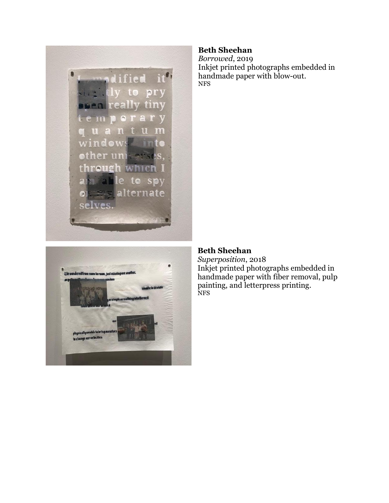



#### **Beth Sheehan**

*Borrowed*, 2019 Inkjet printed photographs embedded in handmade paper with blow-out. NFS

#### **Beth Sheehan**

*Superposition*, 2018 Inkjet printed photographs embedded in handmade paper with fiber removal, pulp painting, and letterpress printing. NFS